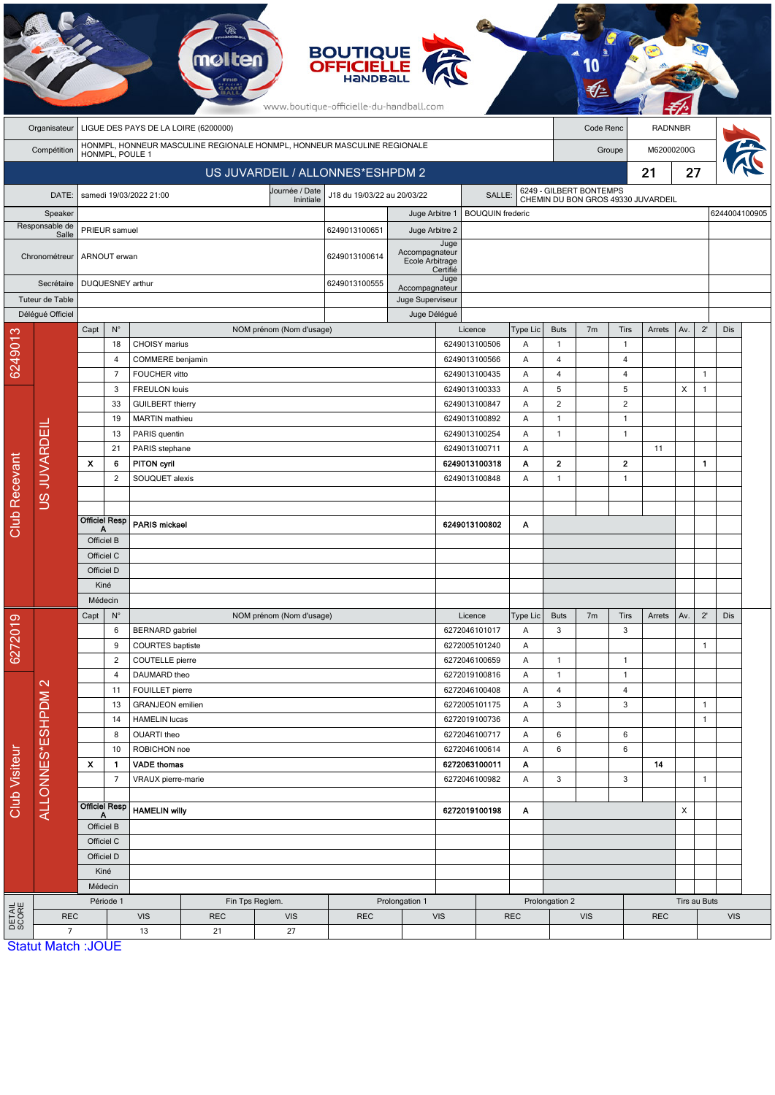|                           |                                             |                                                                         |                                                 |                                   | molten                      |                                   | <b>BOUTIQUE</b><br><b>OFFICIELLE</b><br><b>HANDBAL</b><br>www.boutique-officielle-du-handball.com |                                    |                  |                                |                                    |                   |                |                                |                |              |                |            |  |  |
|---------------------------|---------------------------------------------|-------------------------------------------------------------------------|-------------------------------------------------|-----------------------------------|-----------------------------|-----------------------------------|---------------------------------------------------------------------------------------------------|------------------------------------|------------------|--------------------------------|------------------------------------|-------------------|----------------|--------------------------------|----------------|--------------|----------------|------------|--|--|
|                           | Organisateur                                | LIGUE DES PAYS DE LA LOIRE (6200000)                                    |                                                 |                                   |                             |                                   |                                                                                                   |                                    |                  |                                |                                    | Code Renc         |                |                                | <b>RADNNBR</b> |              |                |            |  |  |
|                           | Compétition                                 | HONMPL, HONNEUR MASCULINE REGIONALE HONMPL, HONNEUR MASCULINE REGIONALE |                                                 |                                   |                             |                                   |                                                                                                   |                                    |                  |                                |                                    |                   | Groupe         |                                |                | M62000200G   |                |            |  |  |
|                           |                                             | HONMPL, POULE 1<br>US JUVARDEIL / ALLONNES*ESHPDM 2                     |                                                 |                                   |                             |                                   |                                                                                                   |                                    |                  |                                |                                    |                   |                | 21                             | 27             |              |                |            |  |  |
|                           |                                             |                                                                         |                                                 | samedi 19/03/2022 21:00           |                             | Journée / Date                    | J18 du 19/03/22 au 20/03/22                                                                       |                                    |                  |                                |                                    |                   |                | 6249 - GILBERT BONTEMPS        |                |              |                |            |  |  |
| DATE:                     |                                             |                                                                         |                                                 |                                   | Inintiale<br>Juge Arbitre 1 |                                   |                                                                                                   | SALLE:<br><b>BOUQUIN</b> frederic  |                  |                                | CHEMIN DU BON GROS 49330 JUVARDEIL |                   |                |                                |                |              | 6244004100905  |            |  |  |
| Speaker<br>Responsable de |                                             |                                                                         | PRIEUR samuel                                   |                                   |                             | 6249013100651                     | Juge Arbitre 2                                                                                    |                                    |                  |                                |                                    |                   |                |                                |                |              |                |            |  |  |
|                           | Salle<br>Chronométreur                      |                                                                         | ARNOUT erwan                                    |                                   | 6249013100614               | Accompagnateur<br>Ecole Arbitrage | Juge                                                                                              |                                    |                  |                                |                                    |                   |                |                                |                |              |                |            |  |  |
|                           | Secrétaire                                  |                                                                         | DUQUESNEY arthur                                |                                   |                             |                                   | 6249013100555                                                                                     |                                    | Certifié<br>Juge |                                |                                    |                   |                |                                |                |              |                |            |  |  |
| Tuteur de Table           |                                             |                                                                         |                                                 |                                   |                             |                                   |                                                                                                   | Accompagnateur<br>Juge Superviseur |                  |                                |                                    |                   |                |                                |                |              |                |            |  |  |
|                           | Délégué Officiel                            |                                                                         |                                                 |                                   |                             |                                   |                                                                                                   | Juge Délégué                       |                  |                                |                                    |                   |                |                                |                |              |                |            |  |  |
|                           |                                             | Capt                                                                    | $N^{\circ}$                                     |                                   |                             | NOM prénom (Nom d'usage)          |                                                                                                   |                                    |                  | Licence                        | Type Lic                           | <b>Buts</b>       | 7 <sub>m</sub> | Tirs                           | Arrets         | Av.          | $2^{\prime}$   | Dis        |  |  |
| 6249013                   | US JUVARDEIL                                |                                                                         | 18<br>$\overline{4}$                            | CHOISY marius<br>COMMERE benjamin |                             |                                   |                                                                                                   |                                    |                  | 6249013100506<br>6249013100566 | Α<br>Α                             | $\mathbf{1}$<br>4 |                | $\mathbf{1}$<br>$\overline{4}$ |                |              |                |            |  |  |
|                           |                                             |                                                                         | $\overline{7}$                                  | FOUCHER vitto                     |                             |                                   |                                                                                                   |                                    |                  | 6249013100435                  | A                                  | $\overline{4}$    |                | $\overline{4}$                 |                |              | $\mathbf{1}$   |            |  |  |
|                           |                                             |                                                                         | 3                                               | <b>FREULON louis</b>              |                             |                                   |                                                                                                   |                                    |                  | 6249013100333                  | Α                                  | 5                 |                | 5                              |                | X            | $\overline{1}$ |            |  |  |
|                           |                                             |                                                                         | 33                                              | <b>GUILBERT</b> thierry           |                             |                                   |                                                                                                   |                                    |                  | 6249013100847                  | Α                                  | $\sqrt{2}$        |                | $\sqrt{2}$                     |                |              |                |            |  |  |
|                           |                                             |                                                                         | 19                                              | <b>MARTIN</b> mathieu             |                             |                                   |                                                                                                   |                                    |                  | 6249013100892                  | Α                                  | $\mathbf{1}$      |                | $\overline{1}$                 |                |              |                |            |  |  |
|                           |                                             |                                                                         | 13                                              | PARIS quentin                     |                             |                                   |                                                                                                   |                                    |                  | 6249013100254                  | Α                                  | $\mathbf{1}$      |                | $\overline{1}$                 |                |              |                |            |  |  |
|                           |                                             |                                                                         | 21                                              | PARIS stephane                    |                             |                                   |                                                                                                   |                                    |                  | 6249013100711<br>Α             |                                    |                   |                |                                | 11             |              |                |            |  |  |
|                           |                                             | $\boldsymbol{\mathsf{x}}$                                               | 6                                               | <b>PITON cyril</b>                |                             |                                   |                                                                                                   |                                    |                  | 6249013100318                  | Α                                  | $\overline{2}$    |                | $\overline{2}$                 |                |              | $\mathbf{1}$   |            |  |  |
| Club Recevant             |                                             |                                                                         | 2                                               | SOUQUET alexis                    |                             |                                   |                                                                                                   |                                    |                  | 6249013100848                  | Α                                  | $\mathbf{1}$      |                | $\mathbf{1}$                   |                |              |                |            |  |  |
|                           |                                             |                                                                         |                                                 |                                   |                             |                                   |                                                                                                   |                                    |                  |                                |                                    |                   |                |                                |                |              |                |            |  |  |
|                           |                                             |                                                                         | <b>Officiel Resp</b>                            | <b>PARIS mickael</b>              |                             |                                   |                                                                                                   |                                    |                  | 6249013100802                  | Α                                  |                   |                |                                |                |              |                |            |  |  |
|                           |                                             | A<br>Officiel B                                                         |                                                 |                                   |                             |                                   |                                                                                                   |                                    |                  |                                |                                    |                   |                |                                |                |              |                |            |  |  |
|                           |                                             | Officiel C                                                              |                                                 |                                   |                             |                                   |                                                                                                   |                                    |                  |                                |                                    |                   |                |                                |                |              |                |            |  |  |
|                           |                                             | Officiel D                                                              |                                                 |                                   |                             |                                   |                                                                                                   |                                    |                  |                                |                                    |                   |                |                                |                |              |                |            |  |  |
|                           |                                             | Kiné                                                                    |                                                 |                                   |                             |                                   |                                                                                                   |                                    |                  |                                |                                    |                   |                |                                |                |              |                |            |  |  |
|                           |                                             | Médecin                                                                 |                                                 |                                   |                             |                                   |                                                                                                   |                                    |                  |                                |                                    |                   |                |                                |                |              |                |            |  |  |
|                           |                                             | Capt<br>$N^{\circ}$                                                     |                                                 |                                   |                             | NOM prénom (Nom d'usage)          |                                                                                                   |                                    |                  | Licence                        |                                    | <b>Buts</b>       | 7 <sub>m</sub> | Tirs                           | Arrets         | Av.          | $2^{\prime}$   | Dis        |  |  |
| 6272019                   |                                             |                                                                         | 6                                               | <b>BERNARD</b> gabriel            |                             |                                   |                                                                                                   |                                    |                  | 6272046101017                  | Α                                  | 3                 |                | 3                              |                |              |                |            |  |  |
|                           |                                             |                                                                         | <b>COURTES</b> baptiste<br>9<br>COUTELLE pierre |                                   |                             |                                   |                                                                                                   |                                    | 6272005101240    | Α                              | $\mathbf{1}$                       |                   |                |                                |                | $\mathbf{1}$ |                |            |  |  |
| Club Visiteur             |                                             |                                                                         | $\overline{c}$<br>4                             | DAUMARD theo                      |                             |                                   |                                                                                                   |                                    |                  | 6272046100659<br>6272019100816 | Α<br>Α                             | $\mathbf{1}$      |                | $\mathbf{1}$<br>$\mathbf{1}$   |                |              |                |            |  |  |
|                           |                                             |                                                                         | 11                                              | FOUILLET pierre                   |                             |                                   |                                                                                                   |                                    |                  | 6272046100408                  | Α                                  | $\overline{4}$    |                | $\overline{4}$                 |                |              |                |            |  |  |
|                           |                                             | 13<br>14                                                                |                                                 | <b>GRANJEON</b> emilien           |                             |                                   |                                                                                                   |                                    |                  | 6272005101175                  | Α                                  | 3                 |                | 3                              |                |              | $\mathbf{1}$   |            |  |  |
|                           |                                             |                                                                         |                                                 | <b>HAMELIN lucas</b>              |                             |                                   |                                                                                                   |                                    |                  | 6272019100736                  | Α                                  |                   |                |                                |                |              | $\mathbf{1}$   |            |  |  |
|                           |                                             |                                                                         | 8                                               | OUARTI theo                       |                             |                                   |                                                                                                   |                                    |                  | 6272046100717                  | Α                                  | 6                 |                | 6                              |                |              |                |            |  |  |
|                           | ALLONNES*ESHPDM2                            |                                                                         | 10                                              | ROBICHON noe                      |                             |                                   |                                                                                                   |                                    |                  | 6272046100614                  | Α                                  | 6                 | $\,6$          |                                |                |              |                |            |  |  |
|                           |                                             | X                                                                       | $\mathbf{1}$                                    | <b>VADE thomas</b>                |                             |                                   |                                                                                                   |                                    |                  | 6272063100011                  | Α                                  |                   |                |                                | 14             |              |                |            |  |  |
|                           |                                             |                                                                         | $\overline{7}$                                  | VRAUX pierre-marie                |                             |                                   |                                                                                                   |                                    |                  | 6272046100982                  | Α                                  | 3                 |                | 3                              |                |              | $\overline{1}$ |            |  |  |
|                           |                                             |                                                                         | <b>Officiel Resp</b>                            | <b>HAMELIN willy</b>              |                             |                                   |                                                                                                   |                                    |                  | 6272019100198                  | Α                                  |                   |                |                                |                | Х            |                |            |  |  |
|                           |                                             | Officiel B                                                              |                                                 |                                   |                             |                                   |                                                                                                   |                                    |                  |                                |                                    |                   |                |                                |                |              |                |            |  |  |
|                           |                                             |                                                                         | Officiel C                                      |                                   |                             |                                   |                                                                                                   |                                    |                  |                                |                                    |                   |                |                                |                |              |                |            |  |  |
|                           |                                             |                                                                         | Officiel D                                      |                                   |                             |                                   |                                                                                                   |                                    |                  |                                |                                    |                   |                |                                |                |              |                |            |  |  |
|                           |                                             |                                                                         | Kiné                                            |                                   |                             |                                   |                                                                                                   |                                    |                  |                                |                                    |                   |                |                                |                |              |                |            |  |  |
|                           |                                             |                                                                         | Médecin                                         |                                   |                             |                                   |                                                                                                   |                                    |                  |                                |                                    |                   |                |                                |                |              |                |            |  |  |
|                           |                                             | Période 1                                                               |                                                 |                                   | Fin Tps Reglem.             | Prolongation 1                    |                                                                                                   |                                    |                  | Prolongation 2                 |                                    |                   |                |                                | Tirs au Buts   |              |                |            |  |  |
| DETAIL<br>SCORE           | <b>REC</b>                                  |                                                                         |                                                 | <b>VIS</b>                        | <b>REC</b>                  | <b>VIS</b>                        | <b>REC</b>                                                                                        |                                    | <b>VIS</b>       | <b>REC</b>                     |                                    |                   | <b>VIS</b>     |                                |                | <b>REC</b>   |                | <b>VIS</b> |  |  |
|                           | $\overline{7}$<br><b>Statut Match: JOUE</b> |                                                                         |                                                 | 13                                | 21                          | 27                                |                                                                                                   |                                    |                  |                                |                                    |                   |                |                                |                |              |                |            |  |  |

 $E$ .